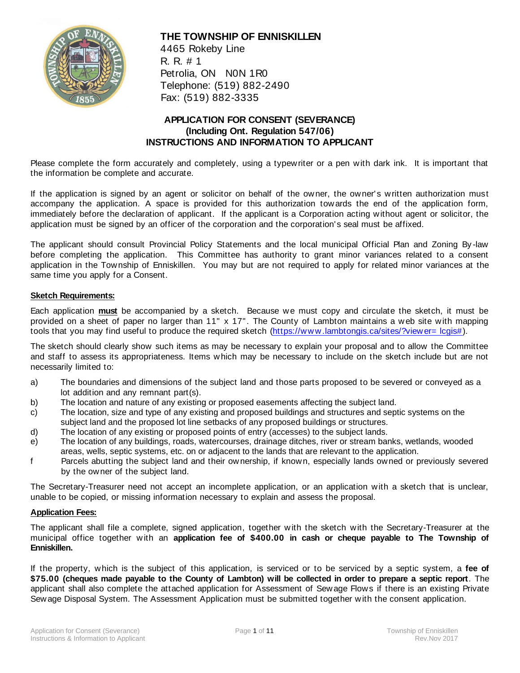

## **THE TOWNSHIP OF ENNISKILLEN**

4465 Rokeby Line R. R. # 1 Petrolia, ON N0N 1R0 Telephone: (519) 882-2490 Fax: (519) 882-3335

## **APPLICATION FOR CONSENT (SEVERANCE) (Including Ont. Regulation 547/06) INSTRUCTIONS AND INFORMATION TO APPLICANT**

Please complete the form accurately and completely, using a typewriter or a pen with dark ink. It is important that the information be complete and accurate.

If the application is signed by an agent or solicitor on behalf of the owner, the owner's written authorization must accompany the application. A space is provided for this authorization towards the end of the application form, immediately before the declaration of applicant. If the applicant is a Corporation acting without agent or solicitor, the application must be signed by an officer of the corporation and the corporation's seal must be affixed.

The applicant should consult Provincial Policy Statements and the local municipal Official Plan and Zoning By -law before completing the application. This Committee has authority to grant minor variances related to a consent application in the Township of Enniskillen. You may but are not required to apply for related minor variances at the same time you apply for a Consent.

#### **Sketch Requirements:**

Each application **must** be accompanied by a sketch. Because we must copy and circulate the sketch, it must be provided on a sheet of paper no larger than 11" x 17". The County of Lambton maintains a web site with mapping tools that you may find useful to produce the required sketch [\(https://www.lambtongis.ca/sites/?viewer= lcgis#\)](https://www.lambtongis.ca/sites/?viewer=lcgis).

The sketch should clearly show such items as may be necessary to explain your proposal and to allow the Committee and staff to assess its appropriateness. Items which may be necessary to include on the sketch include but are not necessarily limited to:

- a) The boundaries and dimensions of the subject land and those parts proposed to be severed or conveyed as a lot addition and any remnant part(s).
- b) The location and nature of any existing or proposed easements affecting the subject land.
- c) The location, size and type of any existing and proposed buildings and structures and septic systems on the subject land and the proposed lot line setbacks of any proposed buildings or structures.
- d) The location of any existing or proposed points of entry (accesses) to the subject lands.
- e) The location of any buildings, roads, watercourses, drainage ditches, river or stream banks, wetlands, wooded areas, wells, septic systems, etc. on or adjacent to the lands that are relevant to the application.
- f Parcels abutting the subject land and their ownership, if known, especially lands owned or previously severed by the owner of the subject land.

The Secretary-Treasurer need not accept an incomplete application, or an application with a sketch that is unclear, unable to be copied, or missing information necessary to explain and assess the proposal.

#### **Application Fees:**

The applicant shall file a complete, signed application, together with the sketch with the Secretary-Treasurer at the municipal office together with an **application fee of \$400.00 in cash or cheque payable to The Township of Enniskillen.**

If the property, which is the subject of this application, is serviced or to be serviced by a septic system, a **fee of \$75.00 (cheques made payable to the County of Lambton) will be collected in order to prepare a septic report**. The applicant shall also complete the attached application for Assessment of Sew age Flows if there is an existing Private Sewage Disposal System. The Assessment Application must be submitted together with the consent application.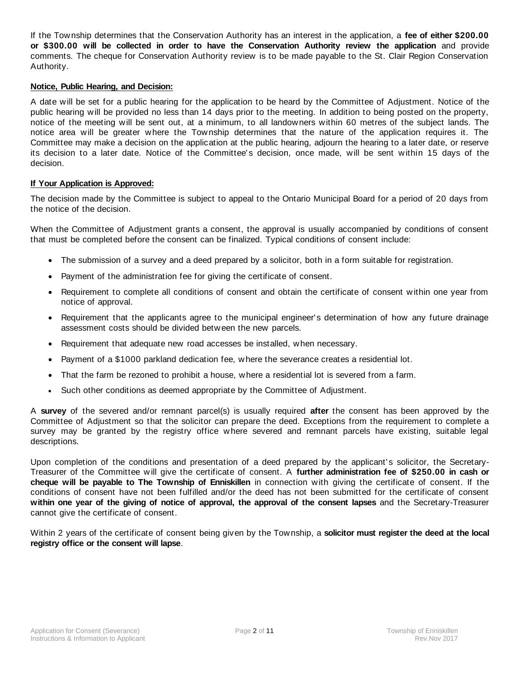If the Township determines that the Conservation Authority has an interest in the application, a **fee of either \$200.00 or \$300.00 will be collected in order to have the Conservation Authority review the application** and provide comments. The cheque for Conservation Authority review is to be made payable to the St. Clair Region Conservation Authority.

#### **Notice, Public Hearing, and Decision:**

A date will be set for a public hearing for the application to be heard by the Committee of Adjustment. Notice of the public hearing will be provided no less than 14 days prior to the meeting. In addition to being posted on the property, notice of the meeting will be sent out, at a minimum, to all landowners within 60 metres of the subject lands. The notice area will be greater where the Township determines that the nature of the application requires it. The Committee may make a decision on the application at the public hearing, adjourn the hearing to a later date, or reserve its decision to a later date. Notice of the Committee's decision, once made, will be sent within 15 days of the decision.

### **If Your Application is Approved:**

The decision made by the Committee is subject to appeal to the Ontario Municipal Board for a period of 20 days from the notice of the decision.

When the Committee of Adjustment grants a consent, the approval is usually accompanied by conditions of consent that must be completed before the consent can be finalized. Typical conditions of consent include:

- The submission of a survey and a deed prepared by a solicitor, both in a form suitable for registration.
- Payment of the administration fee for giving the certificate of consent.
- Requirement to complete all conditions of consent and obtain the certificate of consent within one year from notice of approval.
- Requirement that the applicants agree to the municipal engineer's determination of how any future drainage assessment costs should be divided between the new parcels.
- Requirement that adequate new road accesses be installed, when necessary.
- Payment of a \$1000 parkland dedication fee, where the severance creates a residential lot.
- That the farm be rezoned to prohibit a house, where a residential lot is severed from a farm.
- Such other conditions as deemed appropriate by the Committee of Adjustment.

A **survey** of the severed and/or remnant parcel(s) is usually required **after** the consent has been approved by the Committee of Adjustment so that the solicitor can prepare the deed. Exceptions from the requirement to complete a survey may be granted by the registry office w here severed and remnant parcels have existing, suitable legal descriptions.

Upon completion of the conditions and presentation of a deed prepared by the applicant's solicitor, the Secretary-Treasurer of the Committee will give the certificate of consent. A **further administration fee of \$250.00 in cash or cheque will be payable to The Township of Enniskillen** in connection with giving the certificate of consent. If the conditions of consent have not been fulfilled and/or the deed has not been submitted for the certificate of consent **within one year of the giving of notice of approval, the approval of the consent lapses** and the Secretary-Treasurer cannot give the certificate of consent.

Within 2 years of the certificate of consent being given by the Township, a **solicitor must register the deed at the local registry office or the consent will lapse**.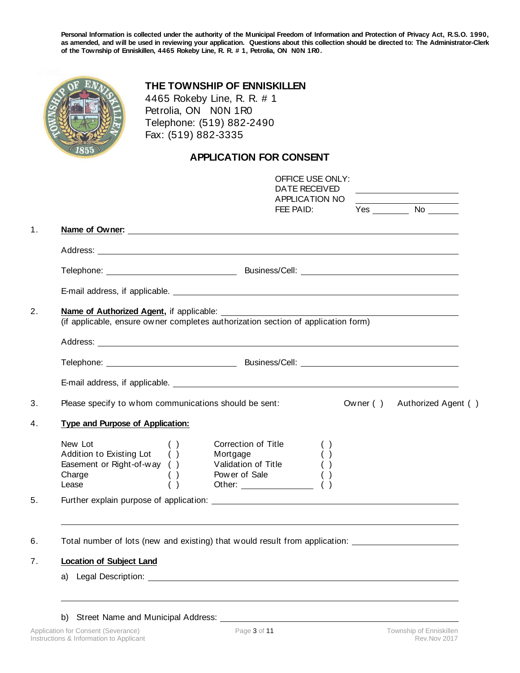**Personal Information is collected under the authority of the Municipal Freedom of Information and Protection of Privacy Act, R.S.O. 1990, as amended, and will be used in reviewing your application. Questions about this collection should be directed to: The Administrator-Clerk of the Township of Enniskillen, 4465 Rokeby Line, R. R. # 1, Petrolia, ON N0N 1R0.**

## **THE TOWNSHIP OF ENNISKILLEN**

4465 Rokeby Line, R. R. # 1 Petrolia, ON N0N 1R0 Telephone: (519) 882-2490 Fax: (519) 882-3335

# **APPLICATION FOR CONSENT**

|                                                                                                                                                                                                                                | <b>OFFICE USE ONLY:</b><br>DATE RECEIVED<br>APPLICATION NO                                | <u> 1989 - Johann Barbara, martin a</u> |
|--------------------------------------------------------------------------------------------------------------------------------------------------------------------------------------------------------------------------------|-------------------------------------------------------------------------------------------|-----------------------------------------|
|                                                                                                                                                                                                                                | FEE PAID:                                                                                 | Yes No                                  |
| Name of Owner:                                                                                                                                                                                                                 |                                                                                           |                                         |
|                                                                                                                                                                                                                                |                                                                                           |                                         |
|                                                                                                                                                                                                                                |                                                                                           |                                         |
|                                                                                                                                                                                                                                |                                                                                           |                                         |
| Name of Authorized Agent, if applicable:<br>(if applicable, ensure owner completes authorization section of application form)                                                                                                  |                                                                                           |                                         |
| Telephone: Network and South Assembly Business/Cell: Network and South Assembly December 2014                                                                                                                                  |                                                                                           |                                         |
|                                                                                                                                                                                                                                |                                                                                           |                                         |
| Please specify to whom communications should be sent:                                                                                                                                                                          |                                                                                           | Owner () Authorized Agent ()            |
| Type and Purpose of Application:                                                                                                                                                                                               |                                                                                           |                                         |
| New Lot<br>( )<br>Addition to Existing Lot ()<br>Easement or Right-of-way ()<br>Charge<br>( )<br>( )<br>Lease                                                                                                                  | Correction of Title<br>Mortgage<br>Validation of Title ( )<br>Power of Sale<br>Other: ( ) |                                         |
|                                                                                                                                                                                                                                |                                                                                           |                                         |
|                                                                                                                                                                                                                                |                                                                                           |                                         |
| Total number of lots (new and existing) that would result from application: _______________________                                                                                                                            |                                                                                           |                                         |
| <b>Location of Subject Land</b>                                                                                                                                                                                                |                                                                                           |                                         |
| a) Legal Description: the contract of the contract of the contract of the contract of the contract of the contract of the contract of the contract of the contract of the contract of the contract of the contract of the cont |                                                                                           |                                         |

b) Street Name and Municipal Address: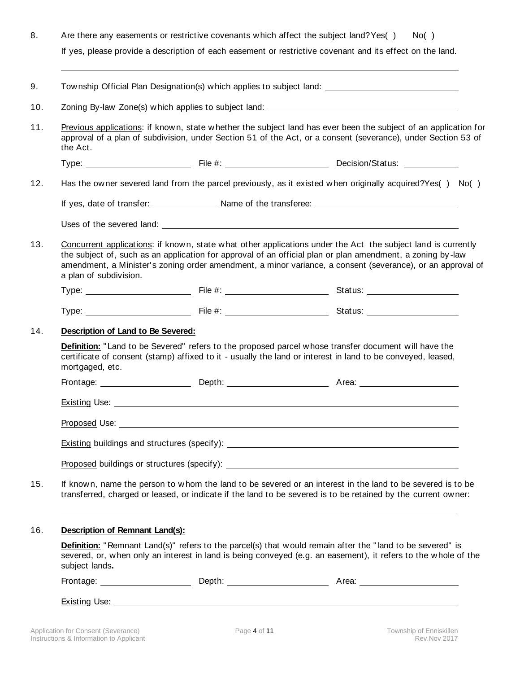| 8.<br>Are there any easements or restrictive covenants which affect the subject land? Yes()<br>If yes, please provide a description of each easement or restrictive covenant and its effect on the land. |                                                                                                                                                                                                                                                      |  | No( )                                                                                                                                                                                                                                                                                                                                    |  |  |
|----------------------------------------------------------------------------------------------------------------------------------------------------------------------------------------------------------|------------------------------------------------------------------------------------------------------------------------------------------------------------------------------------------------------------------------------------------------------|--|------------------------------------------------------------------------------------------------------------------------------------------------------------------------------------------------------------------------------------------------------------------------------------------------------------------------------------------|--|--|
|                                                                                                                                                                                                          |                                                                                                                                                                                                                                                      |  |                                                                                                                                                                                                                                                                                                                                          |  |  |
|                                                                                                                                                                                                          |                                                                                                                                                                                                                                                      |  | Township Official Plan Designation(s) which applies to subject land: ______________________________                                                                                                                                                                                                                                      |  |  |
| 10.                                                                                                                                                                                                      |                                                                                                                                                                                                                                                      |  | Zoning By-law Zone(s) which applies to subject land: ____________________________                                                                                                                                                                                                                                                        |  |  |
| 11.                                                                                                                                                                                                      | the Act.                                                                                                                                                                                                                                             |  | Previous applications: if known, state whether the subject land has ever been the subject of an application for<br>approval of a plan of subdivision, under Section 51 of the Act, or a consent (severance), under Section 53 of                                                                                                         |  |  |
|                                                                                                                                                                                                          |                                                                                                                                                                                                                                                      |  |                                                                                                                                                                                                                                                                                                                                          |  |  |
| 12.                                                                                                                                                                                                      |                                                                                                                                                                                                                                                      |  | Has the owner severed land from the parcel previously, as it existed when originally acquired? Yes() No()                                                                                                                                                                                                                                |  |  |
|                                                                                                                                                                                                          |                                                                                                                                                                                                                                                      |  |                                                                                                                                                                                                                                                                                                                                          |  |  |
|                                                                                                                                                                                                          |                                                                                                                                                                                                                                                      |  | Uses of the severed land: The set of the set of the several set of the several set of the several set of the several set of the several set of the several set of the several set of the several set of the several set of the                                                                                                           |  |  |
| 13.                                                                                                                                                                                                      | a plan of subdivision.                                                                                                                                                                                                                               |  | Concurrent applications: if known, state what other applications under the Act the subject land is currently<br>the subject of, such as an application for approval of an official plan or plan amendment, a zoning by-law<br>amendment, a Minister's zoning order amendment, a minor variance, a consent (severance), or an approval of |  |  |
|                                                                                                                                                                                                          |                                                                                                                                                                                                                                                      |  |                                                                                                                                                                                                                                                                                                                                          |  |  |
|                                                                                                                                                                                                          |                                                                                                                                                                                                                                                      |  |                                                                                                                                                                                                                                                                                                                                          |  |  |
| 14.                                                                                                                                                                                                      | Description of Land to Be Severed:                                                                                                                                                                                                                   |  |                                                                                                                                                                                                                                                                                                                                          |  |  |
|                                                                                                                                                                                                          | <b>Definition:</b> "Land to be Severed" refers to the proposed parcel whose transfer document will have the<br>certificate of consent (stamp) affixed to it - usually the land or interest in land to be conveyed, leased,<br>mortgaged, etc.        |  |                                                                                                                                                                                                                                                                                                                                          |  |  |
|                                                                                                                                                                                                          |                                                                                                                                                                                                                                                      |  |                                                                                                                                                                                                                                                                                                                                          |  |  |
|                                                                                                                                                                                                          |                                                                                                                                                                                                                                                      |  |                                                                                                                                                                                                                                                                                                                                          |  |  |
|                                                                                                                                                                                                          |                                                                                                                                                                                                                                                      |  |                                                                                                                                                                                                                                                                                                                                          |  |  |
|                                                                                                                                                                                                          |                                                                                                                                                                                                                                                      |  |                                                                                                                                                                                                                                                                                                                                          |  |  |
|                                                                                                                                                                                                          |                                                                                                                                                                                                                                                      |  |                                                                                                                                                                                                                                                                                                                                          |  |  |
| 15.                                                                                                                                                                                                      |                                                                                                                                                                                                                                                      |  | If known, name the person to whom the land to be severed or an interest in the land to be severed is to be<br>transferred, charged or leased, or indicate if the land to be severed is to be retained by the current owner:                                                                                                              |  |  |
| 16.                                                                                                                                                                                                      | Description of Remnant Land(s):                                                                                                                                                                                                                      |  |                                                                                                                                                                                                                                                                                                                                          |  |  |
|                                                                                                                                                                                                          | <b>Definition:</b> "Remnant Land(s)" refers to the parcel(s) that would remain after the "land to be severed" is<br>severed, or, when only an interest in land is being conveyed (e.g. an easement), it refers to the whole of the<br>subject lands. |  |                                                                                                                                                                                                                                                                                                                                          |  |  |
|                                                                                                                                                                                                          |                                                                                                                                                                                                                                                      |  |                                                                                                                                                                                                                                                                                                                                          |  |  |
|                                                                                                                                                                                                          |                                                                                                                                                                                                                                                      |  |                                                                                                                                                                                                                                                                                                                                          |  |  |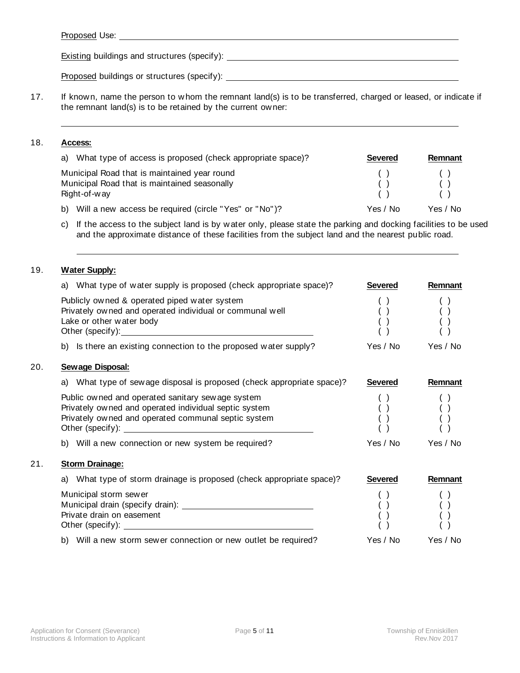| Proposed Use: |
|---------------|
|---------------|

Existing buildings and structures (specify):

Proposed buildings or structures (specify):

17. If known, name the person to whom the remnant land(s) is to be transferred, charged or leased, or indicate if the remnant land(s) is to be retained by the current owner:

### 18. **Access:**

| a) What type of access is proposed (check appropriate space)? | <b>Severed</b> | Remnant  |
|---------------------------------------------------------------|----------------|----------|
| Municipal Road that is maintained year round                  |                |          |
| Municipal Road that is maintained seasonally                  |                |          |
| Right-of-way                                                  |                |          |
| b) Will a new access be required (circle "Yes" or "No")?      | Yes / No       | Yes / No |

c) If the access to the subject land is by water only, please state the parking and docking facilities to be used and the approximate distance of these facilities from the subject land and the nearest public road.

### 19. **Water Supply:**

20. **Sewage Disposal:**

21. **Storm Drainage:**

| What type of water supply is proposed (check appropriate space)?<br>a)                                                                                           | <b>Severed</b>                                | Remnant  |
|------------------------------------------------------------------------------------------------------------------------------------------------------------------|-----------------------------------------------|----------|
| Publicly owned & operated piped water system<br>Privately owned and operated individual or communal well<br>Lake or other water body                             |                                               |          |
| b) Is there an existing connection to the proposed water supply?                                                                                                 | Yes / No                                      | Yes / No |
| <b>Sewage Disposal:</b>                                                                                                                                          |                                               |          |
| What type of sew age disposal is proposed (check appropriate space)?<br>a)                                                                                       | <b>Severed</b>                                | Remnant  |
| Public owned and operated sanitary sewage system<br>Privately owned and operated individual septic system<br>Privately owned and operated communal septic system | $\left( \begin{array}{c} \end{array} \right)$ |          |
| b) Will a new connection or new system be required?                                                                                                              | Yes / No                                      | Yes / No |
| <b>Storm Drainage:</b>                                                                                                                                           |                                               |          |
| What type of storm drainage is proposed (check appropriate space)?<br>a)                                                                                         | <b>Severed</b>                                | Remnant  |
| Municipal storm sewer<br>Private drain on easement                                                                                                               |                                               |          |
| b) Will a new storm sewer connection or new outlet be required?                                                                                                  | Yes / No                                      | Yes / No |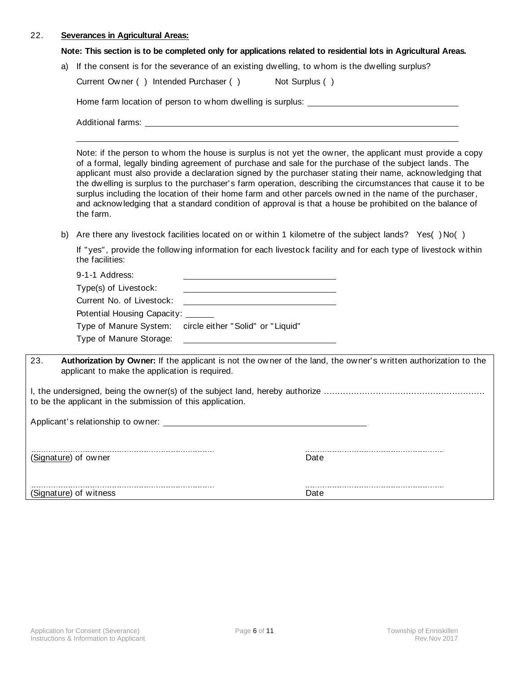## 22. **Severances in Agricultural Areas:**

### **Note: This section is to be completed only for applications related to residential lots in Agricultural Areas.**

|  |  | a) If the consent is for the severance of an existing dwelling, to whom is the dwelling surplus? |
|--|--|--------------------------------------------------------------------------------------------------|
|  |  |                                                                                                  |

|     | Current Owner () Intended Purchaser ()                                                                                                                                                                                                                                                                                                                                                                                                                                                                                                                                                                                                                                           |                                   | Not Surplus ()                                                                                                  |  |  |
|-----|----------------------------------------------------------------------------------------------------------------------------------------------------------------------------------------------------------------------------------------------------------------------------------------------------------------------------------------------------------------------------------------------------------------------------------------------------------------------------------------------------------------------------------------------------------------------------------------------------------------------------------------------------------------------------------|-----------------------------------|-----------------------------------------------------------------------------------------------------------------|--|--|
|     | Home farm location of person to whom dwelling is surplus: _______________________                                                                                                                                                                                                                                                                                                                                                                                                                                                                                                                                                                                                |                                   |                                                                                                                 |  |  |
|     |                                                                                                                                                                                                                                                                                                                                                                                                                                                                                                                                                                                                                                                                                  |                                   |                                                                                                                 |  |  |
|     | Note: if the person to whom the house is surplus is not yet the owner, the applicant must provide a copy<br>of a formal, legally binding agreement of purchase and sale for the purchase of the subject lands. The<br>applicant must also provide a declaration signed by the purchaser stating their name, acknowledging that<br>the dwelling is surplus to the purchaser's farm operation, describing the circumstances that cause it to be<br>surplus including the location of their home farm and other parcels owned in the name of the purchaser,<br>and acknowledging that a standard condition of approval is that a house be prohibited on the balance of<br>the farm. |                                   |                                                                                                                 |  |  |
| b)  |                                                                                                                                                                                                                                                                                                                                                                                                                                                                                                                                                                                                                                                                                  |                                   | Are there any livestock facilities located on or within 1 kilometre of the subject lands? Yes()No()             |  |  |
|     | If "yes", provide the following information for each livestock facility and for each type of livestock within<br>the facilities:                                                                                                                                                                                                                                                                                                                                                                                                                                                                                                                                                 |                                   |                                                                                                                 |  |  |
|     | 9-1-1 Address:                                                                                                                                                                                                                                                                                                                                                                                                                                                                                                                                                                                                                                                                   |                                   |                                                                                                                 |  |  |
|     | Type(s) of Livestock:                                                                                                                                                                                                                                                                                                                                                                                                                                                                                                                                                                                                                                                            |                                   |                                                                                                                 |  |  |
|     | Current No. of Livestock:                                                                                                                                                                                                                                                                                                                                                                                                                                                                                                                                                                                                                                                        |                                   |                                                                                                                 |  |  |
|     | Potential Housing Capacity: ______                                                                                                                                                                                                                                                                                                                                                                                                                                                                                                                                                                                                                                               |                                   |                                                                                                                 |  |  |
|     | Type of Manure System:                                                                                                                                                                                                                                                                                                                                                                                                                                                                                                                                                                                                                                                           | circle either "Solid" or "Liquid" |                                                                                                                 |  |  |
|     | Type of Manure Storage:                                                                                                                                                                                                                                                                                                                                                                                                                                                                                                                                                                                                                                                          |                                   |                                                                                                                 |  |  |
| 23. | applicant to make the application is required.                                                                                                                                                                                                                                                                                                                                                                                                                                                                                                                                                                                                                                   |                                   | Authorization by Owner: If the applicant is not the owner of the land, the owner's written authorization to the |  |  |
|     | to be the applicant in the submission of this application.                                                                                                                                                                                                                                                                                                                                                                                                                                                                                                                                                                                                                       |                                   |                                                                                                                 |  |  |
|     |                                                                                                                                                                                                                                                                                                                                                                                                                                                                                                                                                                                                                                                                                  |                                   |                                                                                                                 |  |  |
|     | (Signature) of owner                                                                                                                                                                                                                                                                                                                                                                                                                                                                                                                                                                                                                                                             |                                   | Date                                                                                                            |  |  |
|     | (Signature) of witness                                                                                                                                                                                                                                                                                                                                                                                                                                                                                                                                                                                                                                                           |                                   | Date                                                                                                            |  |  |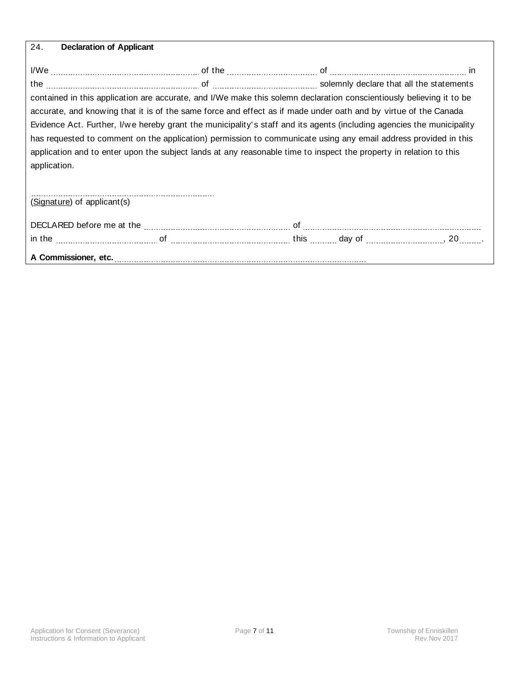| 24.          | <b>Declaration of Applicant</b>                                                                                                                                                                                                                                                                                                                                                                                                                                                                                                                                                                           |  |  |
|--------------|-----------------------------------------------------------------------------------------------------------------------------------------------------------------------------------------------------------------------------------------------------------------------------------------------------------------------------------------------------------------------------------------------------------------------------------------------------------------------------------------------------------------------------------------------------------------------------------------------------------|--|--|
|              | I/We <u>with the substitute of the substitute of the substitute of the substitute of the substitute of the substitute of the substitute of the substitute of the substitute of the substitute of the substitute of the substitut</u>                                                                                                                                                                                                                                                                                                                                                                      |  |  |
|              | the <u>macuum communication</u> of macuum communications of solemnly declare that all the statements                                                                                                                                                                                                                                                                                                                                                                                                                                                                                                      |  |  |
| application. | contained in this application are accurate, and I/We make this solemn declaration conscientiously believing it to be<br>accurate, and knowing that it is of the same force and effect as if made under oath and by virtue of the Canada<br>Evidence Act. Further, I/we hereby grant the municipality's staff and its agents (including agencies the municipality<br>has requested to comment on the application) permission to communicate using any email address provided in this<br>application and to enter upon the subject lands at any reasonable time to inspect the property in relation to this |  |  |
|              | (Signature) of applicant(s)                                                                                                                                                                                                                                                                                                                                                                                                                                                                                                                                                                               |  |  |
|              |                                                                                                                                                                                                                                                                                                                                                                                                                                                                                                                                                                                                           |  |  |
|              | in the <u>measure of the contract of the contract of the contract of the contract of the contract of the contract of the contract of the contract of the contract of the contract of the contract of the contract of the contrac</u>                                                                                                                                                                                                                                                                                                                                                                      |  |  |

**A Commissioner, etc.**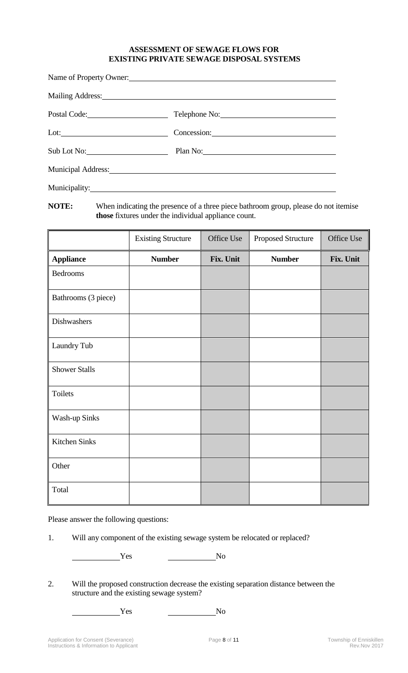## **ASSESSMENT OF SEWAGE FLOWS FOR EXISTING PRIVATE SEWAGE DISPOSAL SYSTEMS**

| Name of Property Owner:                                                                                                                                                                                                        |                                                                                                                                                                                                                                      |  |  |  |
|--------------------------------------------------------------------------------------------------------------------------------------------------------------------------------------------------------------------------------|--------------------------------------------------------------------------------------------------------------------------------------------------------------------------------------------------------------------------------------|--|--|--|
| Mailing Address: 1988 and 2008 and 2008 and 2008 and 2008 and 2008 and 2008 and 2008 and 2008 and 2008 and 200                                                                                                                 |                                                                                                                                                                                                                                      |  |  |  |
| Postal Code:                                                                                                                                                                                                                   | Telephone No:                                                                                                                                                                                                                        |  |  |  |
|                                                                                                                                                                                                                                | Concession: <u>contract and contract and contract and contract and contract and contract and contract and contract and contract and contract and contract and contract and contract and contract and contract and contract and c</u> |  |  |  |
| $Sub$ Lot No:                                                                                                                                                                                                                  | Plan No: 2008 and 2008 and 2008 and 2008 and 2008 and 2008 and 2008 and 2008 and 2008 and 2008 and 2008 and 20                                                                                                                       |  |  |  |
| Municipal Address: Municipal Address: Municipal Address: Municipal Address: Municipal Address: Municipal Address: Municipal Address: Municipal Address: Municipal Address: Municipal Address: Municipal Address: Municipal Add |                                                                                                                                                                                                                                      |  |  |  |
|                                                                                                                                                                                                                                |                                                                                                                                                                                                                                      |  |  |  |

**NOTE:** When indicating the presence of a three piece bathroom group, please do not itemise **those** fixtures under the individual appliance count.

|                      | <b>Existing Structure</b> | Office Use | Proposed Structure | Office Use |
|----------------------|---------------------------|------------|--------------------|------------|
| <b>Appliance</b>     | <b>Number</b>             | Fix. Unit  | <b>Number</b>      | Fix. Unit  |
| Bedrooms             |                           |            |                    |            |
| Bathrooms (3 piece)  |                           |            |                    |            |
| Dishwashers          |                           |            |                    |            |
| Laundry Tub          |                           |            |                    |            |
| <b>Shower Stalls</b> |                           |            |                    |            |
| Toilets              |                           |            |                    |            |
| Wash-up Sinks        |                           |            |                    |            |
| Kitchen Sinks        |                           |            |                    |            |
| Other                |                           |            |                    |            |
| Total                |                           |            |                    |            |

Please answer the following questions:

1. Will any component of the existing sewage system be relocated or replaced?

Yes No

2. Will the proposed construction decrease the existing separation distance between the structure and the existing sewage system?

Yes No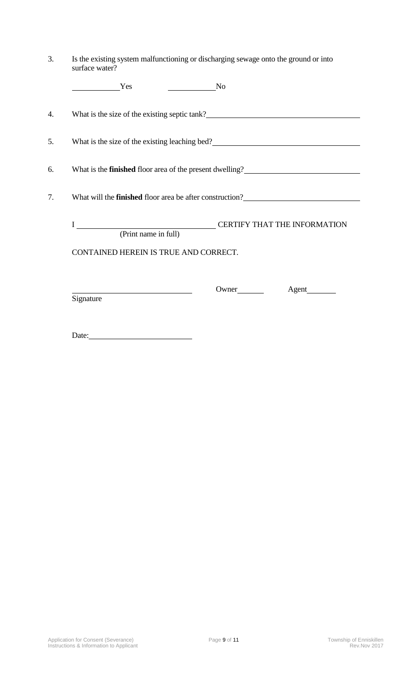| 3. | Is the existing system malfunctioning or discharging sewage onto the ground or into<br>surface water?                                                                                                                     |  |  |
|----|---------------------------------------------------------------------------------------------------------------------------------------------------------------------------------------------------------------------------|--|--|
|    | $\overline{\phantom{a}}$ No<br>Yes                                                                                                                                                                                        |  |  |
| 4. |                                                                                                                                                                                                                           |  |  |
| 5. | What is the size of the existing leaching bed?<br><u>Letting</u> the size of the existing leaching bed?<br><u>Letting</u> the size of the existing leaching bed?<br><u>Letting</u> the size of the existing leaching bed? |  |  |
| 6. | What is the <b>finished</b> floor area of the present dwelling?<br><u>Letting</u> 2                                                                                                                                       |  |  |
| 7. | What will the <b>finished</b> floor area be after construction?<br><u>Letting</u>                                                                                                                                         |  |  |
|    | (Print name in full)                                                                                                                                                                                                      |  |  |
|    | CONTAINED HEREIN IS TRUE AND CORRECT.                                                                                                                                                                                     |  |  |
|    | Signature                                                                                                                                                                                                                 |  |  |
|    | Date:<br><u> 1989 - Jan Samuel Barbara, poeta espainiar político e a la propia de la propia de la propia de la propia de</u>                                                                                              |  |  |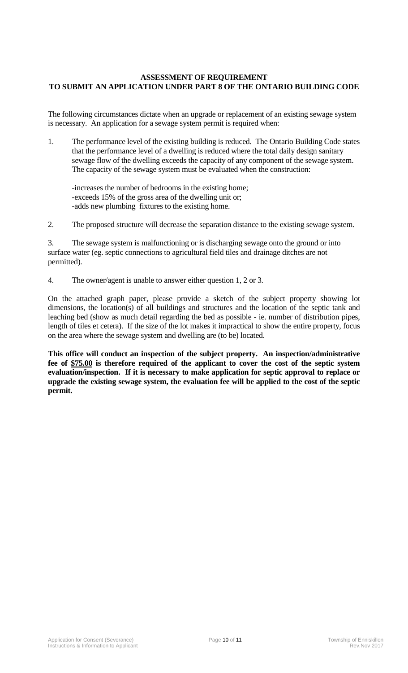# **ASSESSMENT OF REQUIREMENT TO SUBMIT AN APPLICATION UNDER PART 8 OF THE ONTARIO BUILDING CODE**

The following circumstances dictate when an upgrade or replacement of an existing sewage system is necessary. An application for a sewage system permit is required when:

- 1. The performance level of the existing building is reduced. The Ontario Building Code states that the performance level of a dwelling is reduced where the total daily design sanitary sewage flow of the dwelling exceeds the capacity of any component of the sewage system. The capacity of the sewage system must be evaluated when the construction:
	- -increases the number of bedrooms in the existing home; -exceeds 15% of the gross area of the dwelling unit or; -adds new plumbing fixtures to the existing home.
- 2. The proposed structure will decrease the separation distance to the existing sewage system.

3. The sewage system is malfunctioning or is discharging sewage onto the ground or into surface water (eg. septic connections to agricultural field tiles and drainage ditches are not permitted).

4. The owner/agent is unable to answer either question 1, 2 or 3.

On the attached graph paper, please provide a sketch of the subject property showing lot dimensions, the location(s) of all buildings and structures and the location of the septic tank and leaching bed (show as much detail regarding the bed as possible - ie. number of distribution pipes, length of tiles et cetera). If the size of the lot makes it impractical to show the entire property, focus on the area where the sewage system and dwelling are (to be) located.

**This office will conduct an inspection of the subject property. An inspection/administrative fee of \$75.00 is therefore required of the applicant to cover the cost of the septic system evaluation/inspection. If it is necessary to make application for septic approval to replace or upgrade the existing sewage system, the evaluation fee will be applied to the cost of the septic permit.**